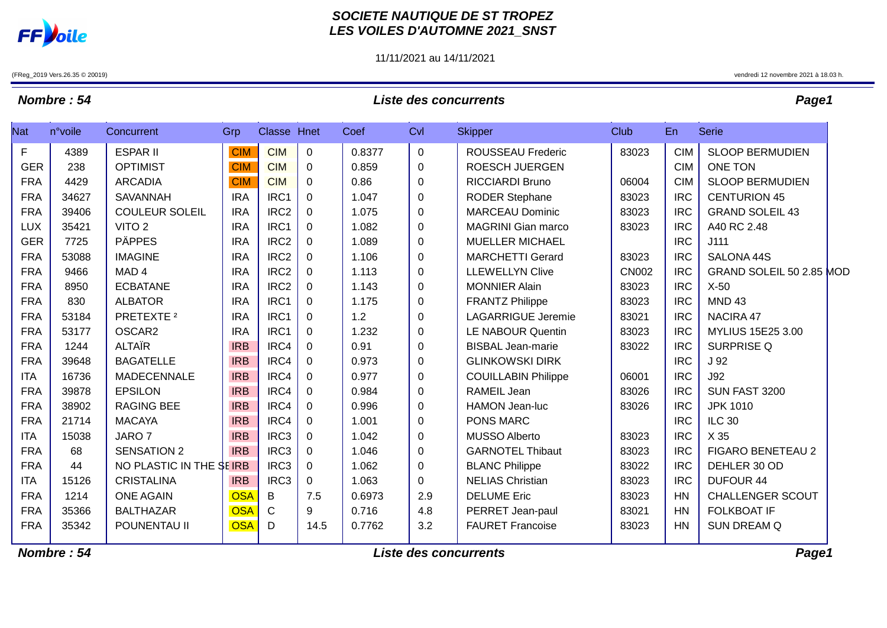

### **SOCIETE NAUTIQUE DE ST TROPEZ LES VOILES D'AUTOMNE 2021\_SNST**

11/11/2021 au 14/11/2021

(FReg\_2019 Vers.26.35 © 20019) vendredi 12 novembre 2021 à 18.03 h.

# **Nombre : 54 Liste des concurrents Page1**

| <b>Nat</b> | n°voile | Concurrent              | Grp        | Classe Hnet      |              | Coef   | CvI              | <b>Skipper</b>             | <b>Club</b>  | En         | <b>Serie</b>             |
|------------|---------|-------------------------|------------|------------------|--------------|--------|------------------|----------------------------|--------------|------------|--------------------------|
| F          | 4389    | <b>ESPAR II</b>         | <b>CIM</b> | <b>CIM</b>       | $\mathbf 0$  | 0.8377 | $\mathbf 0$      | <b>ROUSSEAU Frederic</b>   | 83023        | <b>CIM</b> | <b>SLOOP BERMUDIEN</b>   |
| <b>GER</b> | 238     | <b>OPTIMIST</b>         | <b>CIM</b> | <b>CIM</b>       | $\mathbf 0$  | 0.859  | $\boldsymbol{0}$ | <b>ROESCH JUERGEN</b>      |              | <b>CIM</b> | <b>ONE TON</b>           |
| <b>FRA</b> | 4429    | <b>ARCADIA</b>          | <b>CIM</b> | <b>CIM</b>       | $\Omega$     | 0.86   | $\mathbf 0$      | <b>RICCIARDI Bruno</b>     | 06004        | <b>CIM</b> | <b>SLOOP BERMUDIEN</b>   |
| <b>FRA</b> | 34627   | <b>SAVANNAH</b>         | <b>IRA</b> | IRC1             | $\Omega$     | 1.047  | 0                | <b>RODER Stephane</b>      | 83023        | <b>IRC</b> | <b>CENTURION 45</b>      |
| <b>FRA</b> | 39406   | <b>COULEUR SOLEIL</b>   | <b>IRA</b> | IRC <sub>2</sub> | $\mathbf 0$  | 1.075  | $\pmb{0}$        | <b>MARCEAU Dominic</b>     | 83023        | <b>IRC</b> | <b>GRAND SOLEIL 43</b>   |
| <b>LUX</b> | 35421   | VITO <sub>2</sub>       | <b>IRA</b> | IRC1             | $\mathbf{0}$ | 1.082  | $\pmb{0}$        | <b>MAGRINI Gian marco</b>  | 83023        | <b>IRC</b> | A40 RC 2.48              |
| <b>GER</b> | 7725    | <b>PÄPPES</b>           | <b>IRA</b> | IRC <sub>2</sub> | $\mathbf 0$  | 1.089  | 0                | <b>MUELLER MICHAEL</b>     |              | <b>IRC</b> | J111                     |
| <b>FRA</b> | 53088   | <b>IMAGINE</b>          | <b>IRA</b> | IRC <sub>2</sub> | $\mathbf{0}$ | 1.106  | $\pmb{0}$        | <b>MARCHETTI Gerard</b>    | 83023        | <b>IRC</b> | SALONA 44S               |
| <b>FRA</b> | 9466    | MAD <sub>4</sub>        | <b>IRA</b> | IRC <sub>2</sub> | $\Omega$     | 1.113  | $\boldsymbol{0}$ | <b>LLEWELLYN Clive</b>     | <b>CN002</b> | <b>IRC</b> | GRAND SOLEIL 50 2.85 MOD |
| <b>FRA</b> | 8950    | <b>ECBATANE</b>         | <b>IRA</b> | IRC <sub>2</sub> | 0            | 1.143  | $\mathbf 0$      | <b>MONNIER Alain</b>       | 83023        | <b>IRC</b> | $X-50$                   |
| <b>FRA</b> | 830     | <b>ALBATOR</b>          | <b>IRA</b> | IRC1             | $\Omega$     | 1.175  | $\mathbf 0$      | <b>FRANTZ Philippe</b>     | 83023        | <b>IRC</b> | <b>MND 43</b>            |
| <b>FRA</b> | 53184   | PRETEXTE <sup>2</sup>   | <b>IRA</b> | IRC1             | $\Omega$     | 1.2    | $\boldsymbol{0}$ | <b>LAGARRIGUE Jeremie</b>  | 83021        | <b>IRC</b> | NACIRA 47                |
| <b>FRA</b> | 53177   | OSCAR2                  | <b>IRA</b> | IRC1             | $\mathbf 0$  | 1.232  | $\boldsymbol{0}$ | <b>LE NABOUR Quentin</b>   | 83023        | <b>IRC</b> | <b>MYLIUS 15E25 3.00</b> |
| <b>FRA</b> | 1244    | <b>ALTAIR</b>           | <b>IRB</b> | IRC4             | $\Omega$     | 0.91   | $\mathbf 0$      | <b>BISBAL Jean-marie</b>   | 83022        | <b>IRC</b> | <b>SURPRISE Q</b>        |
| <b>FRA</b> | 39648   | <b>BAGATELLE</b>        | <b>IRB</b> | IRC4             | $\Omega$     | 0.973  | $\mathbf 0$      | <b>GLINKOWSKI DIRK</b>     |              | <b>IRC</b> | J <sub>92</sub>          |
| <b>ITA</b> | 16736   | MADECENNALE             | <b>IRB</b> | IRC4             | 0            | 0.977  | $\boldsymbol{0}$ | <b>COUILLABIN Philippe</b> | 06001        | <b>IRC</b> | <b>J92</b>               |
| <b>FRA</b> | 39878   | <b>EPSILON</b>          | <b>IRB</b> | IRC4             | $\Omega$     | 0.984  | $\mathbf 0$      | <b>RAMEIL Jean</b>         | 83026        | <b>IRC</b> | SUN FAST 3200            |
| <b>FRA</b> | 38902   | <b>RAGING BEE</b>       | <b>IRB</b> | IRC4             | $\Omega$     | 0.996  | $\boldsymbol{0}$ | HAMON Jean-luc             | 83026        | <b>IRC</b> | <b>JPK 1010</b>          |
| <b>FRA</b> | 21714   | <b>MACAYA</b>           | <b>IRB</b> | IRC4             | $\mathbf 0$  | 1.001  | $\mathbf 0$      | <b>PONS MARC</b>           |              | <b>IRC</b> | <b>ILC 30</b>            |
| <b>ITA</b> | 15038   | JARO <sub>7</sub>       | <b>IRB</b> | IRC <sub>3</sub> | $\Omega$     | 1.042  | $\mathbf 0$      | <b>MUSSO Alberto</b>       | 83023        | <b>IRC</b> | X 35                     |
| <b>FRA</b> | 68      | <b>SENSATION 2</b>      | <b>IRB</b> | IRC <sub>3</sub> | 0            | 1.046  | $\boldsymbol{0}$ | <b>GARNOTEL Thibaut</b>    | 83023        | <b>IRC</b> | <b>FIGARO BENETEAU 2</b> |
| <b>FRA</b> | 44      | NO PLASTIC IN THE SEIRB |            | IRC <sub>3</sub> | $\mathbf 0$  | 1.062  | $\pmb{0}$        | <b>BLANC Philippe</b>      | 83022        | <b>IRC</b> | DEHLER 30 OD             |
| <b>ITA</b> | 15126   | <b>CRISTALINA</b>       | <b>IRB</b> | IRC <sub>3</sub> | $\Omega$     | 1.063  | 0                | <b>NELIAS Christian</b>    | 83023        | <b>IRC</b> | <b>DUFOUR 44</b>         |
| <b>FRA</b> | 1214    | <b>ONE AGAIN</b>        | <b>OSA</b> | B                | 7.5          | 0.6973 | 2.9              | <b>DELUME Eric</b>         | 83023        | <b>HN</b>  | <b>CHALLENGER SCOUT</b>  |
| <b>FRA</b> | 35366   | <b>BALTHAZAR</b>        | <b>OSA</b> | C                | 9            | 0.716  | 4.8              | PERRET Jean-paul           | 83021        | <b>HN</b>  | <b>FOLKBOAT IF</b>       |
| <b>FRA</b> | 35342   | POUNENTAU II            | <b>OSA</b> | D                | 14.5         | 0.7762 | 3.2              | <b>FAURET Francoise</b>    | 83023        | <b>HN</b>  | <b>SUN DREAM Q</b>       |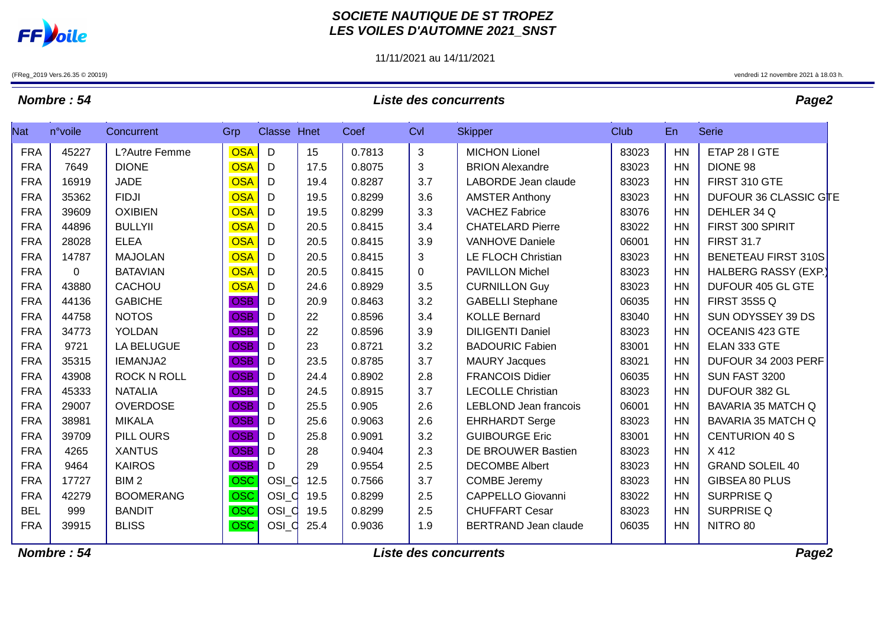

### **SOCIETE NAUTIQUE DE ST TROPEZ LES VOILES D'AUTOMNE 2021\_SNST**

11/11/2021 au 14/11/2021

(FReg\_2019 Vers.26.35 © 20019) vendredi 12 novembre 2021 à 18.03 h.

## **Nombre : 54 Liste des concurrents Page2**

| Nat        | n°voile | Concurrent         | Grp        | Classe Hnet |      | Coef   | Cvl         | <b>Skipper</b>               | Club  | En        | <b>Serie</b>                |
|------------|---------|--------------------|------------|-------------|------|--------|-------------|------------------------------|-------|-----------|-----------------------------|
| <b>FRA</b> | 45227   | L?Autre Femme      | <b>OSA</b> | $\mathsf D$ | 15   | 0.7813 | 3           | <b>MICHON Lionel</b>         | 83023 | HN        | ETAP 28 I GTE               |
| <b>FRA</b> | 7649    | <b>DIONE</b>       | <b>OSA</b> | D           | 17.5 | 0.8075 | 3           | <b>BRION Alexandre</b>       | 83023 | HN        | DIONE 98                    |
| <b>FRA</b> | 16919   | <b>JADE</b>        | <b>OSA</b> | D           | 19.4 | 0.8287 | 3.7         | LABORDE Jean claude          | 83023 | <b>HN</b> | FIRST 310 GTE               |
| <b>FRA</b> | 35362   | <b>FIDJI</b>       | <b>OSA</b> | D           | 19.5 | 0.8299 | 3.6         | <b>AMSTER Anthony</b>        | 83023 | HN        | DUFOUR 36 CLASSIC GTE       |
| <b>FRA</b> | 39609   | <b>OXIBIEN</b>     | <b>OSA</b> | D           | 19.5 | 0.8299 | 3.3         | <b>VACHEZ Fabrice</b>        | 83076 | <b>HN</b> | DEHLER 34 Q                 |
| <b>FRA</b> | 44896   | <b>BULLYII</b>     | <b>OSA</b> | D           | 20.5 | 0.8415 | 3.4         | <b>CHATELARD Pierre</b>      | 83022 | <b>HN</b> | FIRST 300 SPIRIT            |
| <b>FRA</b> | 28028   | <b>ELEA</b>        | <b>OSA</b> | D           | 20.5 | 0.8415 | 3.9         | <b>VANHOVE Daniele</b>       | 06001 | HN        | <b>FIRST 31.7</b>           |
| <b>FRA</b> | 14787   | <b>MAJOLAN</b>     | <b>OSA</b> | D           | 20.5 | 0.8415 | 3           | LE FLOCH Christian           | 83023 | HN        | <b>BENETEAU FIRST 310S</b>  |
| <b>FRA</b> | 0       | <b>BATAVIAN</b>    | <b>OSA</b> | D           | 20.5 | 0.8415 | $\mathbf 0$ | <b>PAVILLON Michel</b>       | 83023 | HN        | <b>HALBERG RASSY (EXP.)</b> |
| <b>FRA</b> | 43880   | <b>CACHOU</b>      | <b>OSA</b> | D           | 24.6 | 0.8929 | 3.5         | <b>CURNILLON Guy</b>         | 83023 | HN        | DUFOUR 405 GL GTE           |
| <b>FRA</b> | 44136   | <b>GABICHE</b>     | <b>OSB</b> | D           | 20.9 | 0.8463 | 3.2         | <b>GABELLI Stephane</b>      | 06035 | HN        | <b>FIRST 35S5 Q</b>         |
| <b>FRA</b> | 44758   | <b>NOTOS</b>       | <b>OSB</b> | D           | 22   | 0.8596 | 3.4         | <b>KOLLE Bernard</b>         | 83040 | HN        | SUN ODYSSEY 39 DS           |
| <b>FRA</b> | 34773   | YOLDAN             | <b>OSB</b> | D           | 22   | 0.8596 | 3.9         | <b>DILIGENTI Daniel</b>      | 83023 | HN        | OCEANIS 423 GTE             |
| <b>FRA</b> | 9721    | <b>LA BELUGUE</b>  | <b>OSB</b> | D           | 23   | 0.8721 | 3.2         | <b>BADOURIC Fabien</b>       | 83001 | HN        | ELAN 333 GTE                |
| <b>FRA</b> | 35315   | IEMANJA2           | <b>OSB</b> | D           | 23.5 | 0.8785 | 3.7         | <b>MAURY Jacques</b>         | 83021 | HN        | DUFOUR 34 2003 PERF         |
| <b>FRA</b> | 43908   | <b>ROCK N ROLL</b> | <b>OSB</b> | D           | 24.4 | 0.8902 | 2.8         | <b>FRANCOIS Didier</b>       | 06035 | HN        | SUN FAST 3200               |
| <b>FRA</b> | 45333   | <b>NATALIA</b>     | <b>OSB</b> | D           | 24.5 | 0.8915 | 3.7         | <b>LECOLLE Christian</b>     | 83023 | HN        | DUFOUR 382 GL               |
| <b>FRA</b> | 29007   | <b>OVERDOSE</b>    | <b>OSB</b> | D           | 25.5 | 0.905  | 2.6         | <b>LEBLOND Jean francois</b> | 06001 | HN        | <b>BAVARIA 35 MATCH Q</b>   |
| <b>FRA</b> | 38981   | <b>MIKALA</b>      | <b>OSB</b> | D           | 25.6 | 0.9063 | 2.6         | <b>EHRHARDT Serge</b>        | 83023 | HN        | BAVARIA 35 MATCH Q          |
| <b>FRA</b> | 39709   | PILL OURS          | <b>OSB</b> | D           | 25.8 | 0.9091 | 3.2         | <b>GUIBOURGE Eric</b>        | 83001 | HN        | <b>CENTURION 40 S</b>       |
| <b>FRA</b> | 4265    | <b>XANTUS</b>      | <b>OSB</b> | D           | 28   | 0.9404 | 2.3         | DE BROUWER Bastien           | 83023 | HN        | X412                        |
| <b>FRA</b> | 9464    | <b>KAIROS</b>      | <b>OSB</b> | D           | 29   | 0.9554 | 2.5         | <b>DECOMBE Albert</b>        | 83023 | HN        | <b>GRAND SOLEIL 40</b>      |
| <b>FRA</b> | 17727   | BIM <sub>2</sub>   | <b>OSC</b> | osi d       | 12.5 | 0.7566 | 3.7         | <b>COMBE Jeremy</b>          | 83023 | HN        | GIBSEA 80 PLUS              |
| <b>FRA</b> | 42279   | <b>BOOMERANG</b>   | <b>OSC</b> | $OSL_d$     | 19.5 | 0.8299 | 2.5         | <b>CAPPELLO Giovanni</b>     | 83022 | HN        | <b>SURPRISE Q</b>           |
| <b>BEL</b> | 999     | <b>BANDIT</b>      | <b>OSC</b> | osi d       | 19.5 | 0.8299 | 2.5         | <b>CHUFFART Cesar</b>        | 83023 | HN        | <b>SURPRISE Q</b>           |
| <b>FRA</b> | 39915   | <b>BLISS</b>       | <b>OSC</b> | $OSL_d$     | 25.4 | 0.9036 | 1.9         | <b>BERTRAND Jean claude</b>  | 06035 | HN        | NITRO 80                    |

**Nombre : 54 Liste des concurrents Page2**